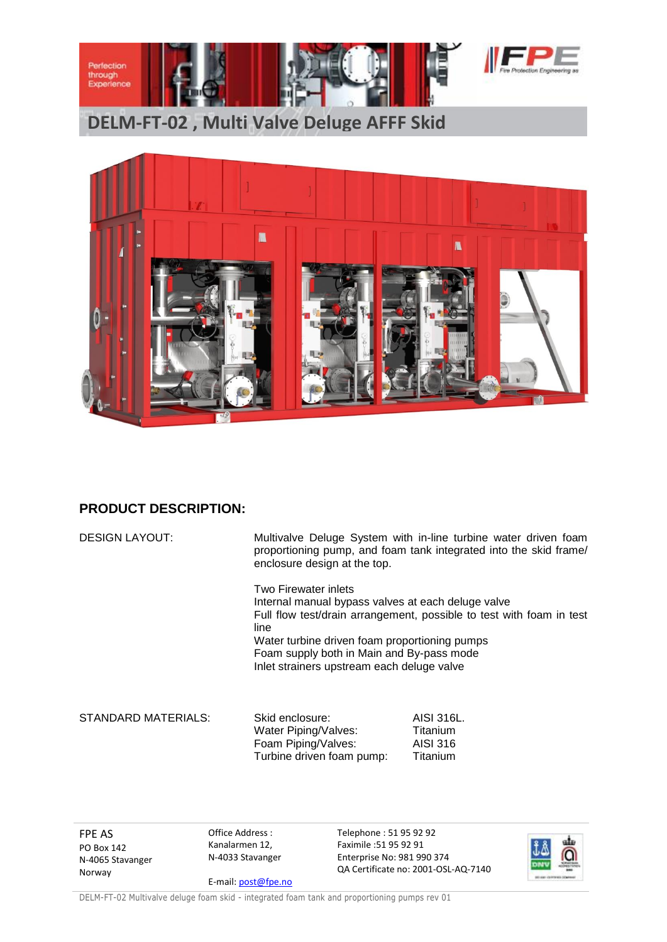

**DELM-FT-02 , Multi Valve Deluge AFFF Skid**



## **PRODUCT DESCRIPTION:**

| <b>DESIGN LAYOUT:</b> | Multivalve Deluge System with in-line turbine water driven foam<br>proportioning pump, and foam tank integrated into the skid frame/<br>enclosure design at the top.<br>Two Firewater inlets<br>Internal manual bypass valves at each deluge valve<br>Full flow test/drain arrangement, possible to test with foam in test<br>line<br>Water turbine driven foam proportioning pumps<br>Foam supply both in Main and By-pass mode<br>Inlet strainers upstream each deluge valve |  |
|-----------------------|--------------------------------------------------------------------------------------------------------------------------------------------------------------------------------------------------------------------------------------------------------------------------------------------------------------------------------------------------------------------------------------------------------------------------------------------------------------------------------|--|
|                       |                                                                                                                                                                                                                                                                                                                                                                                                                                                                                |  |

FPE AS PO Box 142 N-4065 Stavanger Norway

Office Address : Kanalarmen 12, N-4033 Stavanger

E-mail[: post@fpe.no](mailto:post@fpe.no)

Telephone : 51 95 92 92 Faximile :51 95 92 91 Enterprise No: 981 990 374 QA Certificate no: 2001-OSL-AQ-7140



DELM-FT-02 Multivalve deluge foam skid - integrated foam tank and proportioning pumps rev 01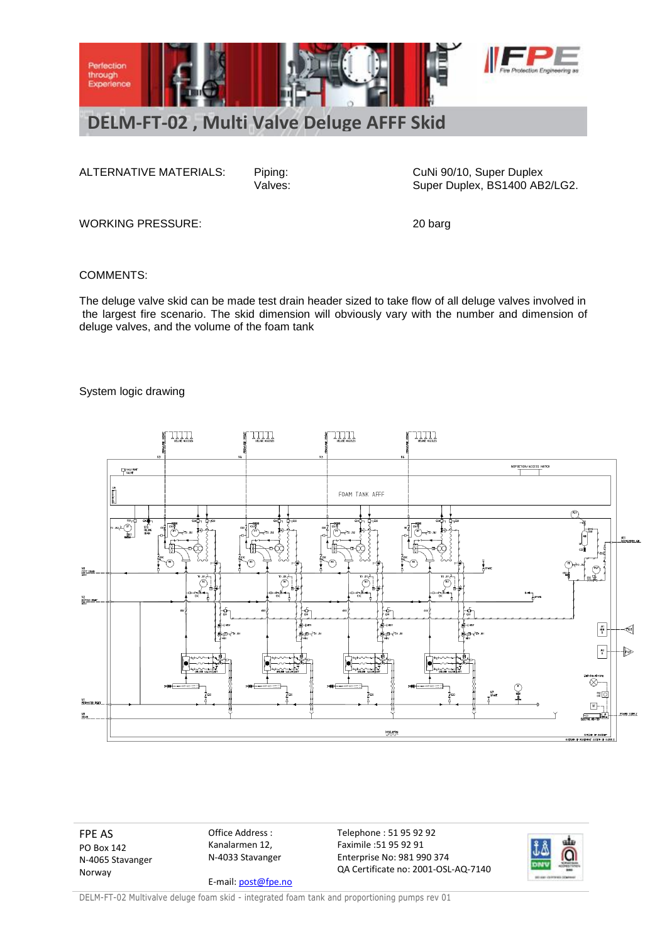

ALTERNATIVE MATERIALS: Piping: CuNi 90/10, Super Duplex<br>Valves: Cuni 90/10, Super Duplex, BS1400 AB Super Duplex, BS1400 AB2/LG2.

WORKING PRESSURE: 20 barg

COMMENTS:

The deluge valve skid can be made test drain header sized to take flow of all deluge valves involved in the largest fire scenario. The skid dimension will obviously vary with the number and dimension of deluge valves, and the volume of the foam tank

## System logic drawing



FPE AS PO Box 142 N-4065 Stavanger Norway

Office Address : Kanalarmen 12, N-4033 Stavanger E-mail[: post@fpe.no](mailto:post@fpe.no) Telephone : 51 95 92 92 Faximile :51 95 92 91 Enterprise No: 981 990 374 QA Certificate no: 2001-OSL-AQ-7140



DELM-FT-02 Multivalve deluge foam skid - integrated foam tank and proportioning pumps rev 01